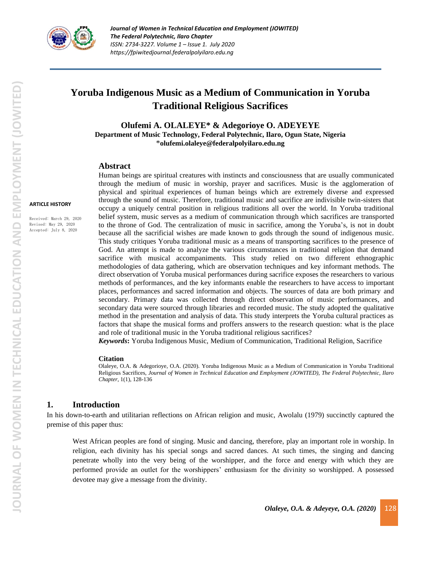

*Journal of Women in Technical Education and Employment (JOWITED) The Federal Polytechnic, Ilaro Chapter ISSN: 2734-3227. Volume 1 – Issue 1. July 2020 https://fpiwitedjournal.federalpolyilaro.edu.ng*

# **Yoruba Indigenous Music as a Medium of Communication in Yoruba Traditional Religious Sacrifices**

**Olufemi A. OLALEYE\* & Adegorioye O. ADEYEYE Department of Music Technology, Federal Polytechnic, Ilaro, Ogun State, Nigeria** \***olufemi.olaleye@federalpolyilaro.edu.ng**

#### **Abstract**

#### **ARTICLE HISTORY**

Received: March 29, 2020 Revised: May 29, 2020 Accepted: July 8, 2020

Human beings are spiritual creatures with instincts and consciousness that are usually communicated through the medium of music in worship, prayer and sacrifices. Music is the agglomeration of physical and spiritual experiences of human beings which are extremely diverse and expressed through the sound of music. Therefore, traditional music and sacrifice are indivisible twin-sisters that occupy a uniquely central position in religious traditions all over the world. In Yoruba traditional belief system, music serves as a medium of communication through which sacrifices are transported to the throne of God. The centralization of music in sacrifice, among the Yoruba's, is not in doubt because all the sacrificial wishes are made known to gods through the sound of indigenous music. This study critiques Yoruba traditional music as a means of transporting sacrifices to the presence of God. An attempt is made to analyze the various circumstances in traditional religion that demand sacrifice with musical accompaniments. This study relied on two different ethnographic methodologies of data gathering, which are observation techniques and key informant methods. The direct observation of Yoruba musical performances during sacrifice exposes the researchers to various methods of performances, and the key informants enable the researchers to have access to important places, performances and sacred information and objects. The sources of data are both primary and secondary. Primary data was collected through direct observation of music performances, and secondary data were sourced through libraries and recorded music. The study adopted the qualitative method in the presentation and analysis of data. This study interprets the Yoruba cultural practices as factors that shape the musical forms and proffers answers to the research question: what is the place and role of traditional music in the Yoruba traditional religious sacrifices?

*Keywords***:** Yoruba Indigenous Music, Medium of Communication, Traditional Religion, Sacrifice

#### **Citation**

Olaleye, O.A. & Adegorioye, O.A. (2020). Yoruba Indigenous Music as a Medium of Communication in Yoruba Traditional Religious Sacrifices, *Journal of Women in Technical Education and Employment (JOWITED), The Federal Polytechnic, Ilaro Chapter*, 1(1), 128-136

#### **1. Introduction**

In his down-to-earth and utilitarian reflections on African religion and music, Awolalu (1979) succinctly captured the premise of this paper thus:

West African peoples are fond of singing. Music and dancing, therefore, play an important role in worship. In religion, each divinity has his special songs and sacred dances. At such times, the singing and dancing penetrate wholly into the very being of the worshipper, and the force and energy with which they are performed provide an outlet for the worshippers' enthusiasm for the divinity so worshipped. A possessed devotee may give a message from the divinity.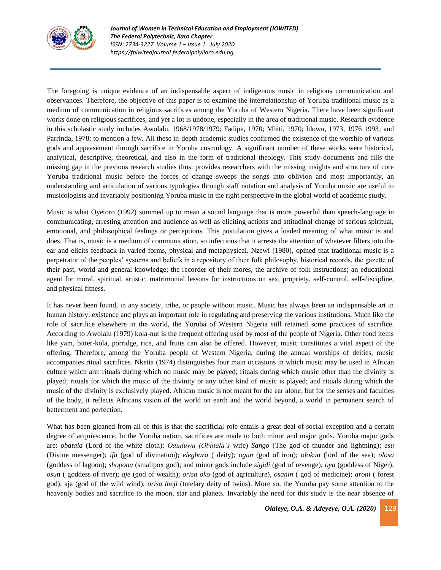

The foregoing is unique evidence of an indispensable aspect of indigenous music in religious communication and observances. Therefore, the objective of this paper is to examine the interrelationship of Yoruba traditional music as a medium of communication in religious sacrifices among the Yoruba of Western Nigeria. There have been significant works done on religious sacrifices, and yet a lot is undone, especially in the area of traditional music. Research evidence in this scholastic study includes Awolalu, 1968/1978/1979; Fadipe, 1970; Mbiti, 1970; Idowu, 1973, 1976 1993; and Parrinda, 1978; to mention a few. All these in-depth academic studies confirmed the existence of the worship of various gods and appeasement through sacrifice in Yoruba cosmology. A significant number of these works were historical, analytical, descriptive, theoretical, and also in the form of traditional theology. This study documents and fills the missing gap in the previous research studies thus: provides researchers with the missing insights and structure of core Yoruba traditional music before the forces of change sweeps the songs into oblivion and most importantly, an understanding and articulation of various typologies through staff notation and analysis of Yoruba music are useful to musicologists and invariably positioning Yoruba music in the right perspective in the global world of academic study.

Music is what Oyetoro (1992) summed up to mean a sound language that is more powerful than speech-language in communicating, arresting attention and audience as well as eliciting actions and attitudinal change of serious spiritual, emotional, and philosophical feelings or perceptions. This postulation gives a loaded meaning of what music is and does. That is, music is a medium of communication, so infectious that it arrests the attention of whatever filters into the ear and elicits feedback in varied forms, physical and metaphysical. Nzewi (1980), opined that traditional music is a perpetrator of the peoples' systems and beliefs in a repository of their folk philosophy, historical records, the gazette of their past, world and general knowledge; the recorder of their mores, the archive of folk instructions; an educational agent for moral, spiritual, artistic, matrimonial lessons for instructions on sex, propriety, self-control, self-discipline, and physical fitness.

It has never been found, in any society, tribe, or people without music. Music has always been an indispensable art in human history, existence and plays an important role in regulating and preserving the various institutions. Much like the role of sacrifice elsewhere in the world, the Yoruba of Western Nigeria still retained some practices of sacrifice. According to Awolalu (1979) kola-nut is the frequent offering used by most of the people of Nigeria. Other food items like yam, bitter-kola, porridge, rice, and fruits can also be offered. However, music constitutes a vital aspect of the offering. Therefore, among the Yoruba people of Western Nigeria, during the annual worships of deities, music accompanies ritual sacrifices. Nketia (1974) distinguishes four main occasions in which music may be used in African culture which are: rituals during which no music may be played; rituals during which music other than the divinity is played; rituals for which the music of the divinity or any other kind of music is played; and rituals during which the music of the divinity is exclusively played. African music is not meant for the ear alone, but for the senses and faculties of the body, it reflects Africans vision of the world on earth and the world beyond, a world in permanent search of betterment and perfection.

What has been gleaned from all of this is that the sacrificial role entails a great deal of social exception and a certain degree of acquiescence. In the Yoruba nation, sacrifices are made to both minor and major gods. Yoruba major gods are: *obatala* (Lord of the white cloth); *Oduduwa (Obatala's* wife) *Sango* (The god of thunder and lightning); *esu* (Divine messenger); *ifa* (god of divination); *elegbara* ( deity); *ogun* (god of iron); *olokun* (lord of the sea); *olosa* (goddess of lagoon); *shopona* (smallpox god); and minor gods include *sigidi* (god of revenge); *oya* (goddess of Niger); *osun* ( goddess of river); *aje* (god of wealth); *orisa oko* (god of agriculture), *osanin* ( god of medicine); *aroni* ( forest god); aja (god of the wild wind); *orisa ibeji* (tutelary deity of twins). More so, the Yoruba pay some attention to the heavenly bodies and sacrifice to the moon, star and planets. Invariably the need for this study is the near absence of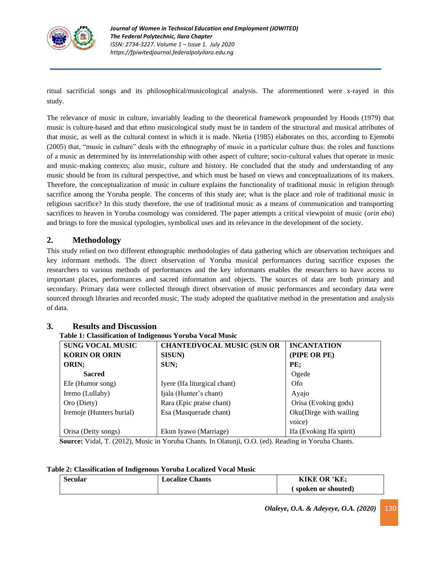

ritual sacrificial songs and its philosophical/musicological analysis. The aforementioned were x-rayed in this study.

The relevance of music in culture, invariably leading to the theoretical framework propounded by Hoods (1979) that music is culture-based and that ethno musicological study must be in tandem of the structural and musical attributes of that music, as well as the cultural context in which it is made. Nketia (1985) elaborates on this, according to Ejemobi (2005) that, "music in culture" deals with the ethnography of music in a particular culture thus: the roles and functions of a music as determined by its interrelationship with other aspect of culture; socio-cultural values that operate in music and music-making contexts; also music, culture and history. He concluded that the study and understanding of any music should be from its cultural perspective, and which must be based on views and conceptualizations of its makers. Therefore, the conceptualization of music in culture explains the functionality of traditional music in religion through sacrifice among the Yoruba people. The concerns of this study are; what is the place and role of traditional music in religious sacrifice? In this study therefore, the use of traditional music as a means of communication and transporting sacrifices to heaven in Yoruba cosmology was considered. The paper attempts a critical viewpoint of music (*orin ebo*) and brings to fore the musical typologies, symbolical uses and its relevance in the development of the society.

# **2. Methodology**

This study relied on two different ethnographic methodologies of data gathering which are observation techniques and key informant methods. The direct observation of Yoruba musical performances during sacrifice exposes the researchers to various methods of performances and the key informants enables the researchers to have access to important places, performances and sacred information and objects. The sources of data are both primary and secondary. Primary data were collected through direct observation of music performances and secondary data were sourced through libraries and recorded music. The study adopted the qualitative method in the presentation and analysis of data.

## **3. Results and Discussion**

| Table 1: Classification of Indigenous Yoruba Vocal Music |  |  |  |  |  |
|----------------------------------------------------------|--|--|--|--|--|
|----------------------------------------------------------|--|--|--|--|--|

| <b>SUNG VOCAL MUSIC</b>  | <b>CHANTEDVOCAL MUSIC (SUN OR</b> | <b>INCANTATION</b>       |
|--------------------------|-----------------------------------|--------------------------|
| <b>KORIN OR ORIN</b>     | <b>SISUN)</b>                     | (PIPE OR PE)             |
| ORIN;                    | SUN;                              | PE:                      |
| <b>Sacred</b>            |                                   | Ogede                    |
| Efe (Humor song)         | Iyere (Ifa liturgical chant)      | Ofo                      |
| Iremo (Lullaby)          | Ijala (Hunter's chant)            | Ayajo                    |
| Oro (Diety)              | Rara (Epic praise chant)          | Orisa (Evoking gods)     |
| Iremoje (Hunters burial) | Esa (Masquerade chant)            | Oku(Dirge with wailing   |
|                          |                                   | voice)                   |
| Orisa (Deity songs)      | Ekun Iyawo (Marriage)             | Ifa (Evoking Ifa spirit) |

 **Source:** Vidal, T. (2012), Music in Yoruba Chants. In Olatunji, O.O. (ed). Reading in Yoruba Chants.

#### **Table 2: Classification of Indigenous Yoruba Localized Vocal Music**

| <b>Secular</b> | <b>Localize Chants</b> | <b>KIKE OR 'KE;</b> |
|----------------|------------------------|---------------------|
|                |                        | (spoken or shouted) |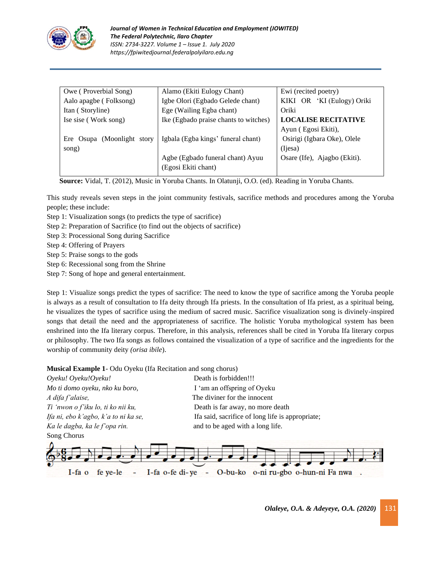

| Owe (Proverbial Song)      | Alamo (Ekiti Eulogy Chant)            | Ewi (recited poetry)         |
|----------------------------|---------------------------------------|------------------------------|
| Aalo apagbe (Folksong)     | Igbe Olori (Egbado Gelede chant)      | KIKI OR 'KI (Eulogy) Oriki   |
| Itan (Storyline)           | Ege (Wailing Egba chant)              | Oriki                        |
| Ise sise (Work song)       | Ike (Egbado praise chants to witches) | <b>LOCALISE RECITATIVE</b>   |
|                            |                                       | Ayun (Egosi Ekiti),          |
| Ere Osupa (Moonlight story | Igbala (Egba kings' funeral chant)    | Osirigi (Igbara Oke), Olele  |
| song)                      |                                       | (Ijesa)                      |
|                            | Agbe (Egbado funeral chant) Ayuu      | Osare (Ife), Ajagbo (Ekiti). |
|                            | (Egosi Ekiti chant)                   |                              |
|                            |                                       |                              |

**Source:** Vidal, T. (2012), Music in Yoruba Chants. In Olatunji, O.O. (ed). Reading in Yoruba Chants.

This study reveals seven steps in the joint community festivals, sacrifice methods and procedures among the Yoruba people; these include:

- Step 1: Visualization songs (to predicts the type of sacrifice)
- Step 2: Preparation of Sacrifice (to find out the objects of sacrifice)
- Step 3: Processional Song during Sacrifice
- Step 4: Offering of Prayers
- Step 5: Praise songs to the gods
- Step 6: Recessional song from the Shrine
- Step 7: Song of hope and general entertainment.

Step 1: Visualize songs predict the types of sacrifice: The need to know the type of sacrifice among the Yoruba people is always as a result of consultation to Ifa deity through Ifa priests. In the consultation of Ifa priest, as a spiritual being, he visualizes the types of sacrifice using the medium of sacred music. Sacrifice visualization song is divinely-inspired songs that detail the need and the appropriateness of sacrifice. The holistic Yoruba mythological system has been enshrined into the Ifa literary corpus. Therefore, in this analysis, references shall be cited in Yoruba Ifa literary corpus or philosophy. The two Ifa songs as follows contained the visualization of a type of sacrifice and the ingredients for the worship of community deity *(orisa ibile*).

## **Musical Example 1**- Odu Oyeku (Ifa Recitation and song chorus)

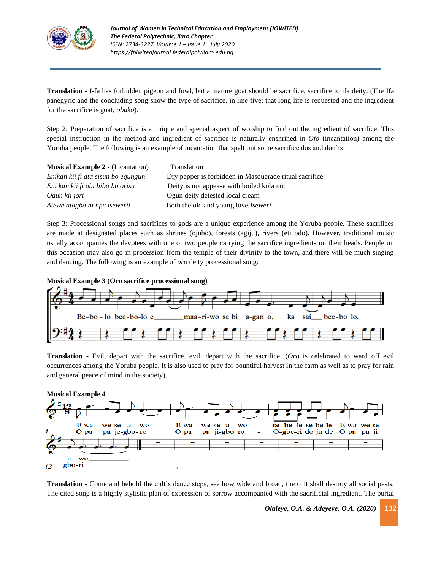

**Translation** - I-fa has forbidden pigeon and fowl, but a mature goat should be sacrifice, sacrifice to ifa deity. (The Ifa panegyric and the concluding song show the type of sacrifice, in line five; that long life is requested and the ingredient for the sacrifice is goat; *obuko*).

Step 2: Preparation of sacrifice is a unique and special aspect of worship to find out the ingredient of sacrifice. This special instruction in the method and ingredient of sacrifice is naturally enshrined in *Ofo* (incantation) among the Yoruba people. The following is an example of incantation that spelt out some sacrifice dos and don'ts

| <b>Musical Example 2</b> - (Incantation) | Translation                                            |
|------------------------------------------|--------------------------------------------------------|
| Enikan kii fi ata sisun bo egungun       | Dry pepper is forbidden in Masquerade ritual sacrifice |
| Eni kan kii fi obi bibo bo orisa         | Deity is not appease with boiled kola nut              |
| Ogun kii jori                            | Ogun deity detested local cream                        |
| Atewe atagba ni npe isewerii.            | Both the old and young love Iseweri                    |

Step 3: Processional songs and sacrifices to gods are a unique experience among the Yoruba people. These sacrifices are made at designated places such as shrines (ojubo), forests (agiju), rivers (eti odo). However, traditional music usually accompanies the devotees with one or two people carrying the sacrifice ingredients on their heads. People on this occasion may also go in procession from the temple of their divinity to the town, and there will be much singing and dancing. The following is an example of *oro* deity processional song:

**Musical Example 3 (Oro sacrifice processional song)**



**Translation** - Evil, depart with the sacrifice, evil, depart with the sacrifice. (*Oro* is celebrated to ward off evil occurrences among the Yoruba people. It is also used to pray for bountiful harvest in the farm as well as to pray for rain and general peace of mind in the society).



**Translation** - Come and behold the cult's dance steps, see how wide and broad, the cult shall destroy all social pests. The cited song is a highly stylistic plan of expression of sorrow accompanied with the sacrificial ingredient. The burial

*Olaleye, O.A. & Adeyeye, O.A. (2020)* 132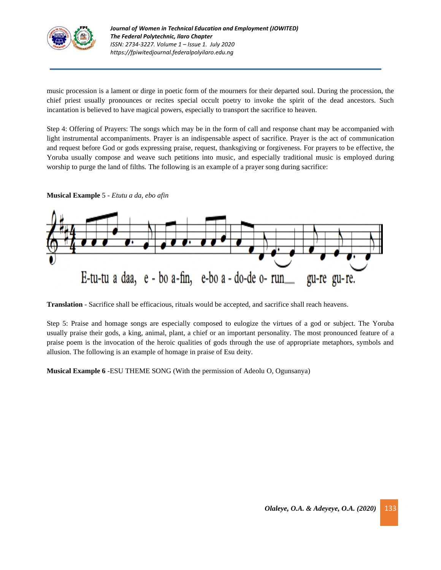

music procession is a lament or dirge in poetic form of the mourners for their departed soul. During the procession, the chief priest usually pronounces or recites special occult poetry to invoke the spirit of the dead ancestors. Such incantation is believed to have magical powers, especially to transport the sacrifice to heaven.

Step 4: Offering of Prayers: The songs which may be in the form of call and response chant may be accompanied with light instrumental accompaniments. Prayer is an indispensable aspect of sacrifice. Prayer is the act of communication and request before God or gods expressing praise, request, thanksgiving or forgiveness. For prayers to be effective, the Yoruba usually compose and weave such petitions into music, and especially traditional music is employed during worship to purge the land of filths. The following is an example of a prayer song during sacrifice:

**Musical Example** 5 - *Etutu a da, ebo afin*



**Translation** - Sacrifice shall be efficacious, rituals would be accepted, and sacrifice shall reach heavens.

Step 5: Praise and homage songs are especially composed to eulogize the virtues of a god or subject. The Yoruba usually praise their gods, a king, animal, plant, a chief or an important personality. The most pronounced feature of a praise poem is the invocation of the heroic qualities of gods through the use of appropriate metaphors, symbols and allusion. The following is an example of homage in praise of Esu deity.

**Musical Example 6** -ESU THEME SONG (With the permission of Adeolu O, Ogunsanya)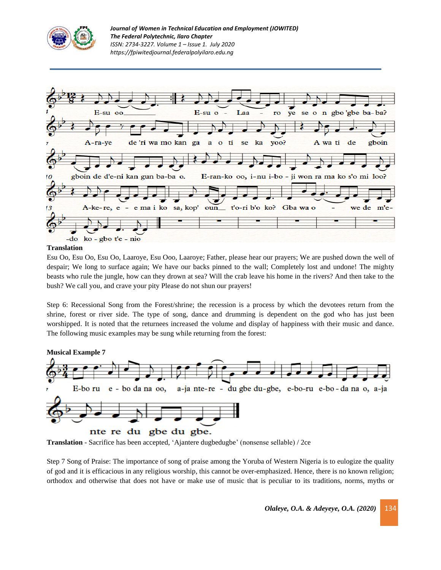



#### **Translation**

Esu Oo, Esu Oo, Esu Oo, Laaroye, Esu Ooo, Laaroye; Father, please hear our prayers; We are pushed down the well of despair; We long to surface again; We have our backs pinned to the wall; Completely lost and undone! The mighty beasts who rule the jungle, how can they drown at sea? Will the crab leave his home in the rivers? And then take to the bush? We call you, and crave your pity Please do not shun our prayers!

Step 6: Recessional Song from the Forest/shrine; the recession is a process by which the devotees return from the shrine, forest or river side. The type of song, dance and drumming is dependent on the god who has just been worshipped. It is noted that the returnees increased the volume and display of happiness with their music and dance. The following music examples may be sung while returning from the forest:



**Translation** - Sacrifice has been accepted, 'Ajantere dugbedugbe' (nonsense sellable) / 2ce

Step 7 Song of Praise: The importance of song of praise among the Yoruba of Western Nigeria is to eulogize the quality of god and it is efficacious in any religious worship, this cannot be over-emphasized. Hence, there is no known religion; orthodox and otherwise that does not have or make use of music that is peculiar to its traditions, norms, myths or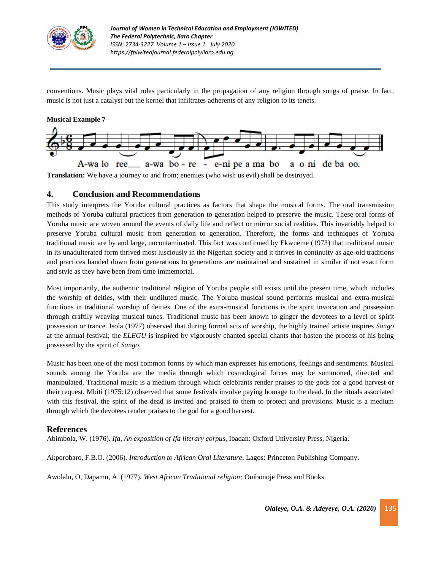

conventions. Music plays vital roles particularly in the propagation of any religion through songs of praise. In fact, music is not just a catalyst but the kernel that infiltrates adherents of any religion to its tenets.

#### **Musical Example 7**



**Translation:** We have a journey to and from; enemies (who wish us evil) shall be destroyed.

## **4. Conclusion and Recommendations**

This study interprets the Yoruba cultural practices as factors that shape the musical forms. The oral transmission methods of Yoruba cultural practices from generation to generation helped to preserve the music. These oral forms of Yoruba music are woven around the events of daily life and reflect or mirror social realities. This invariably helped to preserve Yoruba cultural music from generation to generation. Therefore, the forms and techniques of Yoruba traditional music are by and large, uncontaminated. This fact was confirmed by Ekwueme (1973) that traditional music in its unadulterated form thrived most lusciously in the Nigerian society and it thrives in continuity as age-old traditions and practices handed down from generations to generations are maintained and sustained in similar if not exact form and style as they have been from time immemorial.

Most importantly, the authentic traditional religion of Yoruba people still exists until the present time, which includes the worship of deities, with their undiluted music. The Yoruba musical sound performs musical and extra-musical functions in traditional worship of deities. One of the extra-musical functions is the spirit invocation and possession through craftily weaving musical tunes. Traditional music has been known to ginger the devotees to a level of spirit possession or trance. Isola (1977) observed that during formal acts of worship, the highly trained artiste inspires *Sango* at the annual festival; the *ELEGU* is inspired by vigorously chanted special chants that hasten the process of his being possessed by the spirit of *Sango*.

Music has been one of the most common forms by which man expresses his emotions, feelings and sentiments. Musical sounds among the Yoruba are the media through which cosmological forces may be summoned, directed and manipulated. Traditional music is a medium through which celebrants render praises to the gods for a good harvest or their request. Mbiti (1975:12) observed that some festivals involve paying homage to the dead. In the rituals associated with this festival, the spirit of the dead is invited and praised to them to protect and provisions. Music is a medium through which the devotees render praises to the god for a good harvest.

## **References**

Abimbola, W. (1976). *Ifa, An exposition of Ifa literary corpus*, Ibadan: Oxford University Press, Nigeria.

Akporobaro, F.B.O. (2006). *Introduction to African Oral Literature*, Lagos: Princeton Publishing Company.

Awolalu, O, Dapamu, A. (1977). *West African Traditional religion;* Onibonoje Press and Books.